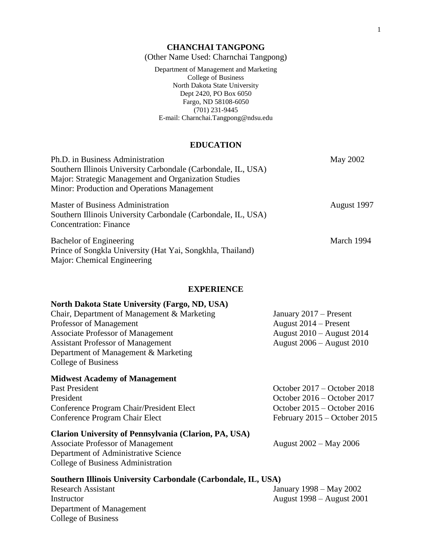#### **CHANCHAI TANGPONG**

(Other Name Used: Charnchai Tangpong)

Department of Management and Marketing College of Business North Dakota State University Dept 2420, PO Box 6050 Fargo, ND 58108-6050 (701) 231-9445 E-mail: Charnchai.Tangpong@ndsu.edu

## **EDUCATION**

| Ph.D. in Business Administration                              | May 2002    |
|---------------------------------------------------------------|-------------|
| Southern Illinois University Carbondale (Carbondale, IL, USA) |             |
| <b>Major: Strategic Management and Organization Studies</b>   |             |
| Minor: Production and Operations Management                   |             |
| <b>Master of Business Administration</b>                      | August 1997 |
| Southern Illinois University Carbondale (Carbondale, IL, USA) |             |
| <b>Concentration: Finance</b>                                 |             |
| <b>Bachelor of Engineering</b>                                | March 1994  |
| Prince of Songkla University (Hat Yai, Songkhla, Thailand)    |             |
| Major: Chemical Engineering                                   |             |

#### **EXPERIENCE**

## **North Dakota State University (Fargo, ND, USA)**

| Chair, Department of Management & Marketing | January $2017$ – Present      |
|---------------------------------------------|-------------------------------|
| Professor of Management                     | August $2014$ – Present       |
| <b>Associate Professor of Management</b>    | August $2010 -$ August $2014$ |
| <b>Assistant Professor of Management</b>    | August $2006 -$ August $2010$ |
| Department of Management & Marketing        |                               |
| College of Business                         |                               |

#### **Midwest Academy of Management**

Past President **Contract President** October 2017 – October 2018 President October 2016 – October 2017 Conference Program Chair/President Elect October 2015 – October 2016 Conference Program Chair Elect February 2015 – October 2015

## **Clarion University of Pennsylvania (Clarion, PA, USA)**

Associate Professor of Management August 2002 – May 2006 Department of Administrative Science College of Business Administration

#### **Southern Illinois University Carbondale (Carbondale, IL, USA)**

Department of Management College of Business

Research Assistant January 1998 – May 2002 Instructor August 1998 – August 2001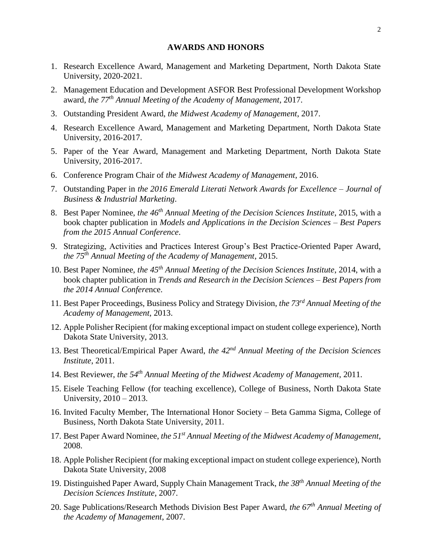### **AWARDS AND HONORS**

- 1. Research Excellence Award, Management and Marketing Department, North Dakota State University, 2020-2021.
- 2. Management Education and Development ASFOR Best Professional Development Workshop award, *the 77th Annual Meeting of the Academy of Management*, 2017.
- 3. Outstanding President Award, *the Midwest Academy of Management*, 2017.
- 4. Research Excellence Award, Management and Marketing Department, North Dakota State University, 2016-2017.
- 5. Paper of the Year Award, Management and Marketing Department, North Dakota State University, 2016-2017.
- 6. Conference Program Chair of *the Midwest Academy of Management*, 2016.
- 7. Outstanding Paper in *the 2016 Emerald Literati Network Awards for Excellence – Journal of Business & Industrial Marketing*.
- 8. Best Paper Nominee, *the 46th Annual Meeting of the Decision Sciences Institute*, 2015, with a book chapter publication in *Models and Applications in the Decision Sciences – Best Papers from the 2015 Annual Conference*.
- 9. Strategizing, Activities and Practices Interest Group's Best Practice-Oriented Paper Award, *the 75th Annual Meeting of the Academy of Management*, 2015.
- 10. Best Paper Nominee, *the 45th Annual Meeting of the Decision Sciences Institute*, 2014, with a book chapter publication in *Trends and Research in the Decision Sciences – Best Papers from the 2014 Annual Confere*nce.
- 11. Best Paper Proceedings, Business Policy and Strategy Division, *the 73rd Annual Meeting of the Academy of Management*, 2013.
- 12. Apple Polisher Recipient (for making exceptional impact on student college experience), North Dakota State University, 2013.
- 13. Best Theoretical/Empirical Paper Award, *the 42nd Annual Meeting of the Decision Sciences Institute*, 2011.
- 14. Best Reviewer, *the 54th Annual Meeting of the Midwest Academy of Management*, 2011.
- 15. Eisele Teaching Fellow (for teaching excellence), College of Business, North Dakota State University, 2010 – 2013.
- 16. Invited Faculty Member, The International Honor Society Beta Gamma Sigma, College of Business, North Dakota State University, 2011.
- 17. Best Paper Award Nominee, *the 51st Annual Meeting of the Midwest Academy of Management*, 2008.
- 18. Apple Polisher Recipient (for making exceptional impact on student college experience), North Dakota State University, 2008
- 19. Distinguished Paper Award, Supply Chain Management Track, *the 38th Annual Meeting of the Decision Sciences Institute*, 2007.
- 20. Sage Publications/Research Methods Division Best Paper Award, *the 67th Annual Meeting of the Academy of Management*, 2007.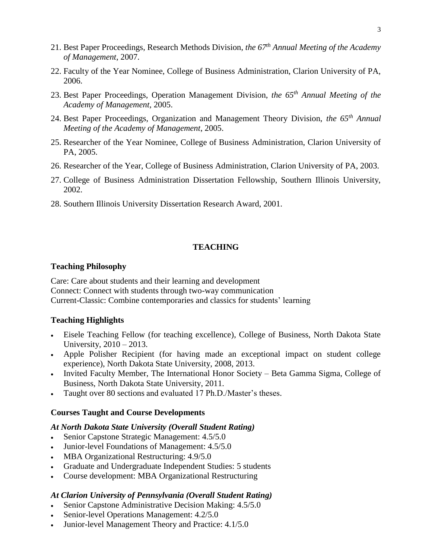- 21. Best Paper Proceedings, Research Methods Division, *the 67th Annual Meeting of the Academy of Management*, 2007.
- 22. Faculty of the Year Nominee, College of Business Administration, Clarion University of PA, 2006.
- 23. Best Paper Proceedings, Operation Management Division, *the 65th Annual Meeting of the Academy of Management*, 2005.
- 24. Best Paper Proceedings, Organization and Management Theory Division, *the 65th Annual Meeting of the Academy of Management*, 2005.
- 25. Researcher of the Year Nominee, College of Business Administration, Clarion University of PA, 2005.
- 26. Researcher of the Year, College of Business Administration, Clarion University of PA, 2003.
- 27. College of Business Administration Dissertation Fellowship, Southern Illinois University, 2002.
- 28. Southern Illinois University Dissertation Research Award, 2001.

## **TEACHING**

#### **Teaching Philosophy**

Care: Care about students and their learning and development Connect: Connect with students through two-way communication Current-Classic: Combine contemporaries and classics for students' learning

### **Teaching Highlights**

- Eisele Teaching Fellow (for teaching excellence), College of Business, North Dakota State University, 2010 – 2013.
- Apple Polisher Recipient (for having made an exceptional impact on student college experience), North Dakota State University, 2008, 2013.
- Invited Faculty Member, The International Honor Society Beta Gamma Sigma, College of Business, North Dakota State University, 2011.
- Taught over 80 sections and evaluated 17 Ph.D./Master's theses.

# **Courses Taught and Course Developments**

## *At North Dakota State University (Overall Student Rating)*

- Senior Capstone Strategic Management:  $4.5/5.0$
- Junior-level Foundations of Management: 4.5/5.0
- MBA Organizational Restructuring: 4.9/5.0
- Graduate and Undergraduate Independent Studies: 5 students
- Course development: MBA Organizational Restructuring

#### *At Clarion University of Pennsylvania (Overall Student Rating)*

- Senior Capstone Administrative Decision Making: 4.5/5.0
- Senior-level Operations Management: 4.2/5.0
- Junior-level Management Theory and Practice: 4.1/5.0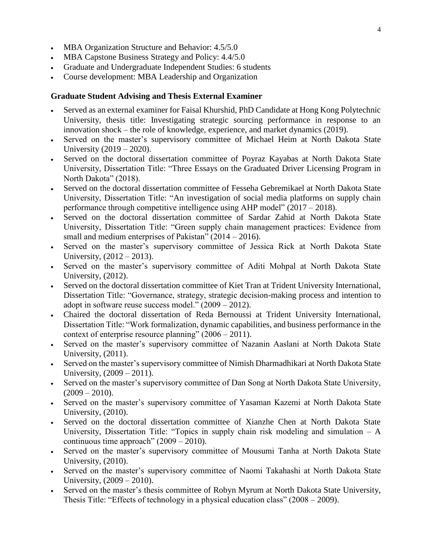- MBA Organization Structure and Behavior: 4.5/5.0
- MBA Capstone Business Strategy and Policy:  $4.4/5.0$
- Graduate and Undergraduate Independent Studies: 6 students
- Course development: MBA Leadership and Organization

## **Graduate Student Advising and Thesis External Examiner**

- Served as an external examiner for Faisal Khurshid, PhD Candidate at Hong Kong Polytechnic University, thesis title: Investigating strategic sourcing performance in response to an innovation shock – the role of knowledge, experience, and market dynamics (2019).
- Served on the master's supervisory committee of Michael Heim at North Dakota State University (2019 – 2020).
- Served on the doctoral dissertation committee of Poyraz Kayabas at North Dakota State University, Dissertation Title: "Three Essays on the Graduated Driver Licensing Program in North Dakota" (2018).
- Served on the doctoral dissertation committee of Fesseha Gebremikael at North Dakota State University, Dissertation Title: "An investigation of social media platforms on supply chain performance through competitive intelligence using AHP model" (2017 – 2018).
- Served on the doctoral dissertation committee of Sardar Zahid at North Dakota State University, Dissertation Title: "Green supply chain management practices: Evidence from small and medium enterprises of Pakistan" (2014 – 2016).
- Served on the master's supervisory committee of Jessica Rick at North Dakota State University, (2012 – 2013).
- Served on the master's supervisory committee of Aditi Mohpal at North Dakota State University, (2012).
- Served on the doctoral dissertation committee of Kiet Tran at Trident University International, Dissertation Title: "Governance, strategy, strategic decision-making process and intention to adopt in software reuse success model." (2009 – 2012).
- Chaired the doctoral dissertation of Reda Bernoussi at Trident University International, Dissertation Title: "Work formalization, dynamic capabilities, and business performance in the context of enterprise resource planning" (2006 – 2011).
- Served on the master's supervisory committee of Nazanin Aaslani at North Dakota State University, (2011).
- Served on the master's supervisory committee of Nimish Dharmadhikari at North Dakota State University, (2009 – 2011).
- Served on the master's supervisory committee of Dan Song at North Dakota State University,  $(2009 - 2010)$ .
- Served on the master's supervisory committee of Yasaman Kazemi at North Dakota State University, (2010).
- Served on the doctoral dissertation committee of Xianzhe Chen at North Dakota State University, Dissertation Title: "Topics in supply chain risk modeling and simulation – A continuous time approach" (2009 – 2010).
- Served on the master's supervisory committee of Mousumi Tanha at North Dakota State University, (2010).
- Served on the master's supervisory committee of Naomi Takahashi at North Dakota State University, (2009 – 2010).
- Served on the master's thesis committee of Robyn Myrum at North Dakota State University, Thesis Title: "Effects of technology in a physical education class" (2008 – 2009).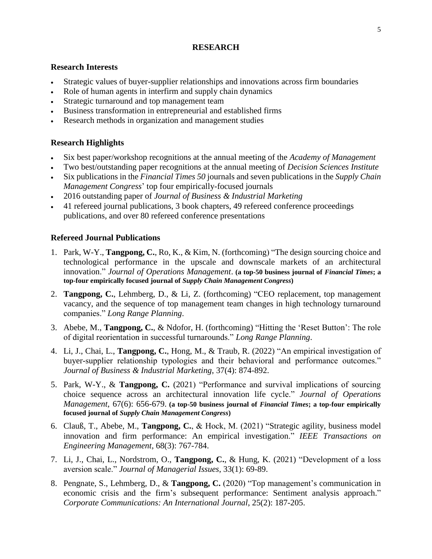# **RESEARCH**

## **Research Interests**

- Strategic values of buyer-supplier relationships and innovations across firm boundaries
- Role of human agents in interfirm and supply chain dynamics
- Strategic turnaround and top management team
- Business transformation in entrepreneurial and established firms
- Research methods in organization and management studies

# **Research Highlights**

- Six best paper/workshop recognitions at the annual meeting of the *Academy of Management*
- Two best/outstanding paper recognitions at the annual meeting of *Decision Sciences Institute*
- Six publications in the *Financial Times 50* journals and seven publications in the *Supply Chain Management Congress*' top four empirically-focused journals
- 2016 outstanding paper of *Journal of Business & Industrial Marketing*
- 41 refereed journal publications, 3 book chapters, 49 refereed conference proceedings publications, and over 80 refereed conference presentations

# **Refereed Journal Publications**

- 1. Park, W-Y., **Tangpong, C.**, Ro, K., & Kim, N. (forthcoming) "The design sourcing choice and technological performance in the upscale and downscale markets of an architectural innovation." *Journal of Operations Management*. **(a top-50 business journal of** *Financial Times***; a top-four empirically focused journal of** *Supply Chain Management Congress***)**
- 2. **Tangpong, C.**, Lehmberg, D., & Li, Z. (forthcoming) "CEO replacement, top management vacancy, and the sequence of top management team changes in high technology turnaround companies." *Long Range Planning*.
- 3. Abebe, M., **Tangpong, C.**, & Ndofor, H. (forthcoming) "Hitting the 'Reset Button': The role of digital reorientation in successful turnarounds." *Long Range Planning*.
- 4. Li, J., Chai, L., **Tangpong, C.**, Hong, M., & Traub, R. (2022) "An empirical investigation of buyer-supplier relationship typologies and their behavioral and performance outcomes." *Journal of Business & Industrial Marketing*, 37(4): 874-892.
- 5. Park, W-Y., & **Tangpong, C.** (2021) "Performance and survival implications of sourcing choice sequence across an architectural innovation life cycle." *Journal of Operations Management*, 67(6): 656-679. **(a top-50 business journal of** *Financial Times***; a top-four empirically focused journal of** *Supply Chain Management Congress***)**
- 6. Clauß, T., Abebe, M., **Tangpong, C.**, & Hock, M. (2021) "Strategic agility, business model innovation and firm performance: An empirical investigation." *IEEE Transactions on Engineering Management*, 68(3): 767-784.
- 7. Li, J., Chai, L., Nordstrom, O., **Tangpong, C.**, & Hung, K. (2021) "Development of a loss aversion scale." *Journal of Managerial Issues*, 33(1): 69-89.
- 8. Pengnate, S., Lehmberg, D., & **Tangpong, C.** (2020) "Top management's communication in economic crisis and the firm's subsequent performance: Sentiment analysis approach." *Corporate Communications: An International Journal*, 25(2): 187-205.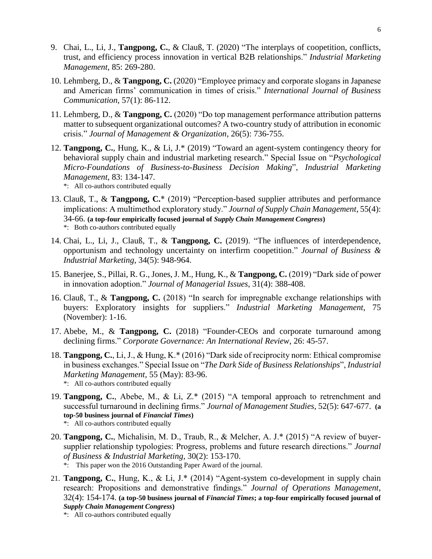- 9. Chai, L., Li, J., **Tangpong, C.**, & Clauß, T. (2020) "The interplays of coopetition, conflicts, trust, and efficiency process innovation in vertical B2B relationships." *Industrial Marketing Management*, 85: 269-280.
- 10. Lehmberg, D., & **Tangpong, C.** (2020) "Employee primacy and corporate slogans in Japanese and American firms' communication in times of crisis." *International Journal of Business Communication*, 57(1): 86-112.
- 11. Lehmberg, D., & **Tangpong, C.** (2020) "Do top management performance attribution patterns matter to subsequent organizational outcomes? A two-country study of attribution in economic crisis." *Journal of Management & Organization*, 26(5): 736-755.
- 12. **Tangpong, C.**, Hung, K., & Li, J.\* (2019) "Toward an agent-system contingency theory for behavioral supply chain and industrial marketing research." Special Issue on "*Psychological Micro-Foundations of Business-to-Business Decision Making*", *Industrial Marketing Management*, 83: 134-147. \*: All co-authors contributed equally
- 13. Clauß, T., & **Tangpong, C.**\* (2019) "Perception-based supplier attributes and performance implications: A multimethod exploratory study." *Journal of Supply Chain Management*, 55(4): 34-66. **(a top-four empirically focused journal of** *Supply Chain Management Congress***)** \*: Both co-authors contributed equally
- 14. Chai, L., Li, J., Clauß, T., & **Tangpong, C.** (2019). "The influences of interdependence, opportunism and technology uncertainty on interfirm coopetition." *Journal of Business & Industrial Marketing*, 34(5): 948-964.
- 15. Banerjee, S., Pillai, R. G., Jones, J. M., Hung, K., & **Tangpong, C.** (2019) "Dark side of power in innovation adoption." *Journal of Managerial Issues*, 31(4): 388-408.
- 16. Clauß, T., & **Tangpong, C.** (2018) "In search for impregnable exchange relationships with buyers: Exploratory insights for suppliers." *Industrial Marketing Management*, 75 (November): 1-16.
- 17. Abebe, M., & **Tangpong, C.** (2018) "Founder-CEOs and corporate turnaround among declining firms." *Corporate Governance: An International Review*, 26: 45-57.
- 18. **Tangpong, C.**, Li, J., & Hung, K.\* (2016) "Dark side of reciprocity norm: Ethical compromise in business exchanges." Special Issue on "*The Dark Side of Business Relationships*", *Industrial Marketing Management*, 55 (May): 83-96. \*: All co-authors contributed equally
- 19. **Tangpong, C.**, Abebe, M., & Li, Z.\* (2015) "A temporal approach to retrenchment and successful turnaround in declining firms." *Journal of Management Studies*, 52(5): 647-677. **(a top-50 business journal of** *Financial Times***)** \*: All co-authors contributed equally
- 20. **Tangpong, C.**, Michalisin, M. D., Traub, R., & Melcher, A. J.\* (2015) "A review of buyersupplier relationship typologies: Progress, problems and future research directions." *Journal of Business & Industrial Marketing*, 30(2): 153-170.
	- \*: This paper won the 2016 Outstanding Paper Award of the journal.
- 21. **Tangpong, C.**, Hung, K., & Li, J.\* (2014) "Agent-system co-development in supply chain research: Propositions and demonstrative findings." *Journal of Operations Management*, 32(4): 154-174. **(a top-50 business journal of** *Financial Times***; a top-four empirically focused journal of**  *Supply Chain Management Congress***)**
	- \*: All co-authors contributed equally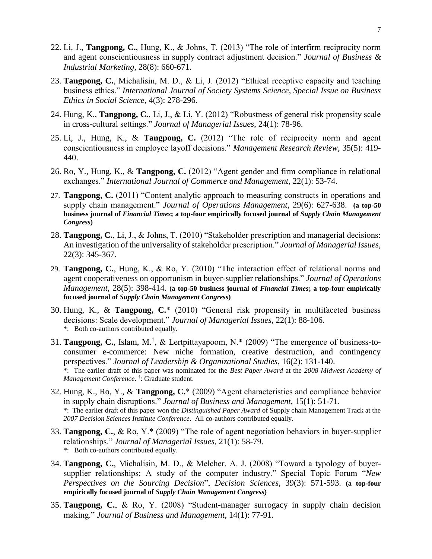- 22. Li, J., **Tangpong, C.**, Hung, K., & Johns, T. (2013) "The role of interfirm reciprocity norm and agent conscientiousness in supply contract adjustment decision." *Journal of Business & Industrial Marketing*, 28(8): 660-671.
- 23. **Tangpong, C.**, Michalisin, M. D., & Li, J. (2012) "Ethical receptive capacity and teaching business ethics." *International Journal of Society Systems Science*, *Special Issue on Business Ethics in Social Science*, 4(3): 278-296.
- 24. Hung, K., **Tangpong, C.**, Li, J., & Li, Y. (2012) "Robustness of general risk propensity scale in cross-cultural settings." *Journal of Managerial Issues*, 24(1): 78-96.
- 25. Li, J., Hung, K., & **Tangpong, C.** (2012) "The role of reciprocity norm and agent conscientiousness in employee layoff decisions." *Management Research Review*, 35(5): 419- 440.
- 26. Ro, Y., Hung, K., & **Tangpong, C.** (2012) "Agent gender and firm compliance in relational exchanges." *International Journal of Commerce and Management*, 22(1): 53-74.
- 27. **Tangpong, C.** (2011) "Content analytic approach to measuring constructs in operations and supply chain management." *Journal of Operations Management*, 29(6): 627-638. **(a top-50 business journal of** *Financial Times***; a top-four empirically focused journal of** *Supply Chain Management Congress***)**
- 28. **Tangpong, C.**, Li, J., & Johns, T. (2010) "Stakeholder prescription and managerial decisions: An investigation of the universality of stakeholder prescription." *Journal of Managerial Issues*, 22(3): 345-367.
- 29. **Tangpong, C.**, Hung, K., & Ro, Y. (2010) "The interaction effect of relational norms and agent cooperativeness on opportunism in buyer-supplier relationships." *Journal of Operations Management*, 28(5): 398-414. **(a top-50 business journal of** *Financial Times***; a top-four empirically focused journal of** *Supply Chain Management Congress***)**
- 30. Hung, K., & **Tangpong, C.**\* (2010) "General risk propensity in multifaceted business decisions: Scale development." *Journal of Managerial Issues*, 22(1): 88-106. \*: Both co-authors contributed equally.
- 31. **Tangpong, C.**, Islam, M.† , & Lertpittayapoom, N.\* (2009) "The emergence of business-toconsumer e-commerce: New niche formation, creative destruction, and contingency perspectives." *Journal of Leadership & Organizational Studies*, 16(2): 131-140. \*: The earlier draft of this paper was nominated for the *Best Paper Award* at the *2008 Midwest Academy of Management Conference*. † : Graduate student.
- 32. Hung, K., Ro, Y., & **Tangpong, C.**\* (2009) "Agent characteristics and compliance behavior in supply chain disruptions." *Journal of Business and Management*, 15(1): 51-71. \*: The earlier draft of this paper won the *Distinguished Paper Award* of Supply chain Management Track at the *2007 Decision Sciences Institute Conference*. All co-authors contributed equally.
- 33. **Tangpong, C.**, & Ro, Y.\* (2009) "The role of agent negotiation behaviors in buyer-supplier relationships." *Journal of Managerial Issues*, 21(1): 58-79. \*: Both co-authors contributed equally.
- 34. **Tangpong, C.**, Michalisin, M. D., & Melcher, A. J. (2008) "Toward a typology of buyersupplier relationships: A study of the computer industry." Special Topic Forum "*New Perspectives on the Sourcing Decision*", *Decision Sciences,* 39(3): 571-593. **(a top-four empirically focused journal of** *Supply Chain Management Congress***)**
- 35. **Tangpong, C.**, & Ro, Y. (2008) "Student-manager surrogacy in supply chain decision making." *Journal of Business and Management*, 14(1): 77-91.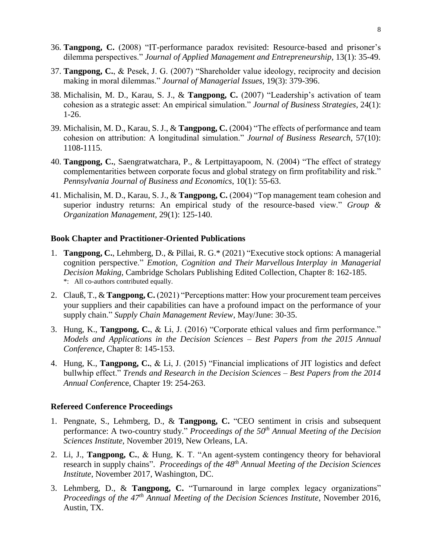- 36. **Tangpong, C.** (2008) "IT-performance paradox revisited: Resource-based and prisoner's dilemma perspectives." *Journal of Applied Management and Entrepreneurship*, 13(1): 35-49.
- 37. **Tangpong, C.**, & Pesek, J. G. (2007) "Shareholder value ideology, reciprocity and decision making in moral dilemmas." *Journal of Managerial Issues*, 19(3): 379-396.
- 38. Michalisin, M. D., Karau, S. J., & **Tangpong, C.** (2007) "Leadership's activation of team cohesion as a strategic asset: An empirical simulation." *Journal of Business Strategies*, 24(1): 1-26.
- 39. Michalisin, M. D., Karau, S. J., & **Tangpong, C.** (2004) "The effects of performance and team cohesion on attribution: A longitudinal simulation." *Journal of Business Research*, 57(10): 1108-1115.
- 40. **Tangpong, C.**, Saengratwatchara, P., & Lertpittayapoom, N. (2004) "The effect of strategy complementarities between corporate focus and global strategy on firm profitability and risk." *Pennsylvania Journal of Business and Economics*, 10(1): 55-63.
- 41. Michalisin, M. D., Karau, S. J., & **Tangpong, C.** (2004) "Top management team cohesion and superior industry returns: An empirical study of the resource-based view." *Group & Organization Management*, 29(1): 125-140.

#### **Book Chapter and Practitioner-Oriented Publications**

- 1. **Tangpong, C.**, Lehmberg, D., & Pillai, R. G.\* (2021) "Executive stock options: A managerial cognition perspective." *Emotion, Cognition and Their Marvellous Interplay in Managerial Decision Making*, Cambridge Scholars Publishing Edited Collection, Chapter 8: 162-185. \*: All co-authors contributed equally.
- 2. Clauß, T., & **Tangpong, C.** (2021) "Perceptions matter: How your procurement team perceives your suppliers and their capabilities can have a profound impact on the performance of your supply chain." *Supply Chain Management Review*, May/June: 30-35.
- 3. Hung, K., **Tangpong, C.**, & Li, J. (2016) "Corporate ethical values and firm performance." *Models and Applications in the Decision Sciences – Best Papers from the 2015 Annual Conference*, Chapter 8: 145-153.
- 4. Hung, K., **Tangpong, C.**, & Li, J. (2015) "Financial implications of JIT logistics and defect bullwhip effect." *Trends and Research in the Decision Sciences – Best Papers from the 2014 Annual Confere*nce, Chapter 19: 254-263.

#### **Refereed Conference Proceedings**

- 1. Pengnate, S., Lehmberg, D., & **Tangpong, C.** "CEO sentiment in crisis and subsequent performance: A two-country study." *Proceedings of the 50th Annual Meeting of the Decision Sciences Institute*, November 2019, New Orleans, LA.
- 2. Li, J., **Tangpong, C.**, & Hung, K. T. "An agent-system contingency theory for behavioral research in supply chains". *Proceedings of the 48 th Annual Meeting of the Decision Sciences Institute*, November 2017, Washington, DC.
- 3. Lehmberg, D., & **Tangpong, C.** "Turnaround in large complex legacy organizations" *Proceedings of the 47th Annual Meeting of the Decision Sciences Institute*, November 2016, Austin, TX.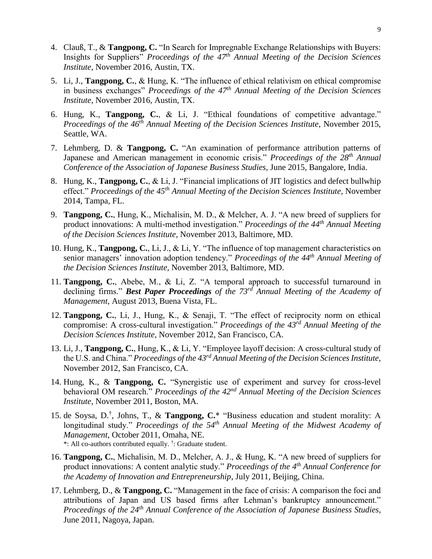- 4. Clauß, T., & **Tangpong, C.** "In Search for Impregnable Exchange Relationships with Buyers: Insights for Suppliers" *Proceedings of the 47th Annual Meeting of the Decision Sciences Institute*, November 2016, Austin, TX.
- 5. Li, J., **Tangpong, C.**, & Hung, K. "The influence of ethical relativism on ethical compromise in business exchanges" *Proceedings of the 47th Annual Meeting of the Decision Sciences Institute*, November 2016, Austin, TX.
- 6. Hung, K., **Tangpong, C.**, & Li, J. "Ethical foundations of competitive advantage." *Proceedings of the 46th Annual Meeting of the Decision Sciences Institute*, November 2015, Seattle, WA.
- 7. Lehmberg, D. & **Tangpong, C.** "An examination of performance attribution patterns of Japanese and American management in economic crisis." *Proceedings of the 28<sup>th</sup> Annual Conference of the Association of Japanese Business Studies*, June 2015, Bangalore, India.
- 8. Hung, K., **Tangpong, C.**, & Li, J. "Financial implications of JIT logistics and defect bullwhip effect." *Proceedings of the 45th Annual Meeting of the Decision Sciences Institute*, November 2014, Tampa, FL.
- 9. **Tangpong, C.**, Hung, K., Michalisin, M. D., & Melcher, A. J. "A new breed of suppliers for product innovations: A multi-method investigation." *Proceedings of the 44th Annual Meeting of the Decision Sciences Institute*, November 2013, Baltimore, MD.
- 10. Hung, K., **Tangpong, C.**, Li, J., & Li, Y. "The influence of top management characteristics on senior managers' innovation adoption tendency." *Proceedings of the 44th Annual Meeting of the Decision Sciences Institute*, November 2013, Baltimore, MD.
- 11. **Tangpong, C.**, Abebe, M., & Li, Z. "A temporal approach to successful turnaround in declining firms." *Best Paper Proceedings of the 73rd Annual Meeting of the Academy of Management*, August 2013, Buena Vista, FL.
- 12. **Tangpong, C.**, Li, J., Hung, K., & Senaji, T. "The effect of reciprocity norm on ethical compromise: A cross-cultural investigation." *Proceedings of the 43rd Annual Meeting of the Decision Sciences Institute*, November 2012, San Francisco, CA.
- 13. Li, J., **Tangpong, C.**, Hung, K., & Li, Y. "Employee layoff decision: A cross-cultural study of the U.S. and China." *Proceedings of the 43rd Annual Meeting of the Decision Sciences Institute*, November 2012, San Francisco, CA.
- 14. Hung, K., & **Tangpong, C.** "Synergistic use of experiment and survey for cross-level behavioral OM research." *Proceedings of the 42nd Annual Meeting of the Decision Sciences Institute*, November 2011, Boston, MA.
- 15. de Soysa, D.† , Johns, T., & **Tangpong, C.**\* "Business education and student morality: A longitudinal study." *Proceedings of the 54th Annual Meeting of the Midwest Academy of Management*, October 2011, Omaha, NE. \*: All co-authors contributed equally. † : Graduate student.
- 16. **Tangpong, C.**, Michalisin, M. D., Melcher, A. J., & Hung, K. "A new breed of suppliers for product innovations: A content analytic study." *Proceedings of the 4th Annual Conference for the Academy of Innovation and Entrepreneurship*, July 2011, Beijing, China.
- 17. Lehmberg, D., & **Tangpong, C.** "Management in the face of crisis: A comparison the foci and attributions of Japan and US based firms after Lehman's bankruptcy announcement." *Proceedings of the 24th Annual Conference of the Association of Japanese Business Studies*, June 2011, Nagoya, Japan.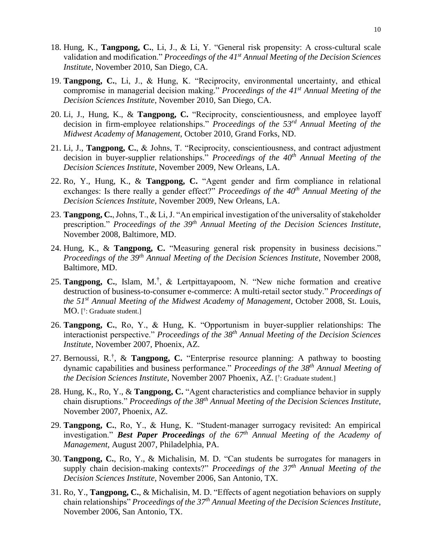- 18. Hung, K., **Tangpong, C.**, Li, J., & Li, Y. "General risk propensity: A cross-cultural scale validation and modification." *Proceedings of the 41st Annual Meeting of the Decision Sciences Institute*, November 2010, San Diego, CA.
- 19. **Tangpong, C.**, Li, J., & Hung, K. "Reciprocity, environmental uncertainty, and ethical compromise in managerial decision making." *Proceedings of the 41st Annual Meeting of the Decision Sciences Institute*, November 2010, San Diego, CA.
- 20. Li, J., Hung, K., & **Tangpong, C.** "Reciprocity, conscientiousness, and employee layoff decision in firm-employee relationships." *Proceedings of the 53rd Annual Meeting of the Midwest Academy of Management*, October 2010, Grand Forks, ND.
- 21. Li, J., **Tangpong, C.**, & Johns, T. "Reciprocity, conscientiousness, and contract adjustment decision in buyer-supplier relationships." *Proceedings of the 40th Annual Meeting of the Decision Sciences Institute*, November 2009, New Orleans, LA.
- 22. Ro, Y., Hung, K., & **Tangpong, C.** "Agent gender and firm compliance in relational exchanges: Is there really a gender effect?" *Proceedings of the 40th Annual Meeting of the Decision Sciences Institute*, November 2009, New Orleans, LA.
- 23. **Tangpong, C.**, Johns, T., & Li, J. "An empirical investigation of the universality of stakeholder prescription." *Proceedings of the 39th Annual Meeting of the Decision Sciences Institute*, November 2008, Baltimore, MD.
- 24. Hung, K., & **Tangpong, C.** "Measuring general risk propensity in business decisions." *Proceedings of the 39th Annual Meeting of the Decision Sciences Institute*, November 2008, Baltimore, MD.
- 25. **Tangpong, C.**, Islam, M.† , & Lertpittayapoom, N. "New niche formation and creative destruction of business-to-consumer e-commerce: A multi-retail sector study." *Proceedings of the 51st Annual Meeting of the Midwest Academy of Management*, October 2008, St. Louis, MO. [ † : Graduate student.]
- 26. **Tangpong, C.**, Ro, Y., & Hung, K. "Opportunism in buyer-supplier relationships: The interactionist perspective." *Proceedings of the 38th Annual Meeting of the Decision Sciences Institute*, November 2007, Phoenix, AZ.
- 27. Bernoussi, R.† , & **Tangpong, C.** "Enterprise resource planning: A pathway to boosting dynamic capabilities and business performance." *Proceedings of the 38th Annual Meeting of the Decision Sciences Institute*, November 2007 Phoenix, AZ. [ † : Graduate student.]
- 28. Hung, K., Ro, Y., & **Tangpong, C.** "Agent characteristics and compliance behavior in supply chain disruptions." *Proceedings of the 38th Annual Meeting of the Decision Sciences Institute*, November 2007, Phoenix, AZ.
- 29. **Tangpong, C.**, Ro, Y., & Hung, K. "Student-manager surrogacy revisited: An empirical investigation." *Best Paper Proceedings of the 67th Annual Meeting of the Academy of Management*, August 2007, Philadelphia, PA.
- 30. **Tangpong, C.**, Ro, Y., & Michalisin, M. D. "Can students be surrogates for managers in supply chain decision-making contexts?" *Proceedings of the 37th Annual Meeting of the Decision Sciences Institute*, November 2006, San Antonio, TX.
- 31. Ro, Y., **Tangpong, C.**, & Michalisin, M. D. "Effects of agent negotiation behaviors on supply chain relationships" *Proceedings of the 37th Annual Meeting of the Decision Sciences Institute*, November 2006, San Antonio, TX.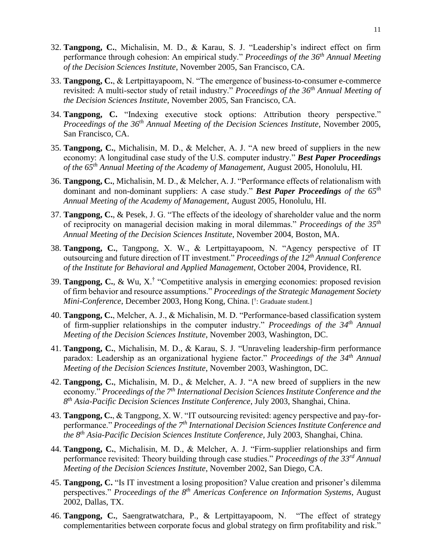- 32. **Tangpong, C.**, Michalisin, M. D., & Karau, S. J. "Leadership's indirect effect on firm performance through cohesion: An empirical study." *Proceedings of the 36th Annual Meeting of the Decision Sciences Institute*, November 2005, San Francisco, CA.
- 33. **Tangpong, C.**, & Lertpittayapoom, N. "The emergence of business-to-consumer e-commerce revisited: A multi-sector study of retail industry." *Proceedings of the 36th Annual Meeting of the Decision Sciences Institute*, November 2005, San Francisco, CA.
- 34. **Tangpong, C.** "Indexing executive stock options: Attribution theory perspective." *Proceedings of the 36th Annual Meeting of the Decision Sciences Institute*, November 2005, San Francisco, CA.
- 35. **Tangpong, C.**, Michalisin, M. D., & Melcher, A. J. "A new breed of suppliers in the new economy: A longitudinal case study of the U.S. computer industry." *Best Paper Proceedings of the 65th Annual Meeting of the Academy of Management*, August 2005, Honolulu, HI.
- 36. **Tangpong, C.**, Michalisin, M. D., & Melcher, A. J. "Performance effects of relationalism with dominant and non-dominant suppliers: A case study." *Best Paper Proceedings of the 65th Annual Meeting of the Academy of Management*, August 2005, Honolulu, HI.
- 37. **Tangpong, C.**, & Pesek, J. G. "The effects of the ideology of shareholder value and the norm of reciprocity on managerial decision making in moral dilemmas." *Proceedings of the 35th Annual Meeting of the Decision Sciences Institute*, November 2004, Boston, MA.
- 38. **Tangpong, C.**, Tangpong, X. W., & Lertpittayapoom, N. "Agency perspective of IT outsourcing and future direction of IT investment." *Proceedings of the 12th Annual Conference of the Institute for Behavioral and Applied Management*, October 2004, Providence, RI.
- 39. **Tangpong, C.**, & Wu, X.† "Competitive analysis in emerging economies: proposed revision of firm behavior and resource assumptions." *Proceedings of the Strategic Management Society Mini-Conference*, December 2003, Hong Kong, China. [ † : Graduate student.]
- 40. **Tangpong, C.**, Melcher, A. J., & Michalisin, M. D. "Performance-based classification system of firm-supplier relationships in the computer industry." *Proceedings of the 34th Annual Meeting of the Decision Sciences Institute*, November 2003, Washington, DC.
- 41. **Tangpong, C.**, Michalisin, M. D., & Karau, S. J. "Unraveling leadership-firm performance paradox: Leadership as an organizational hygiene factor." *Proceedings of the 34th Annual Meeting of the Decision Sciences Institute*, November 2003, Washington, DC.
- 42. **Tangpong, C.**, Michalisin, M. D., & Melcher, A. J. "A new breed of suppliers in the new economy." *Proceedings of the 7th International Decision Sciences Institute Conference and the 8 th Asia-Pacific Decision Sciences Institute Conference*, July 2003, Shanghai, China.
- 43. **Tangpong, C.**, & Tangpong, X. W. "IT outsourcing revisited: agency perspective and pay-forperformance." *Proceedings of the 7th International Decision Sciences Institute Conference and the 8th Asia-Pacific Decision Sciences Institute Conference*, July 2003, Shanghai, China.
- 44. **Tangpong, C.**, Michalisin, M. D., & Melcher, A. J. "Firm-supplier relationships and firm performance revisited: Theory building through case studies." *Proceedings of the 33rd Annual Meeting of the Decision Sciences Institute*, November 2002, San Diego, CA.
- 45. **Tangpong, C.** "Is IT investment a losing proposition? Value creation and prisoner's dilemma perspectives." *Proceedings of the 8th Americas Conference on Information Systems*, August 2002, Dallas, TX.
- 46. **Tangpong, C.**, Saengratwatchara, P., & Lertpittayapoom, N. "The effect of strategy complementarities between corporate focus and global strategy on firm profitability and risk."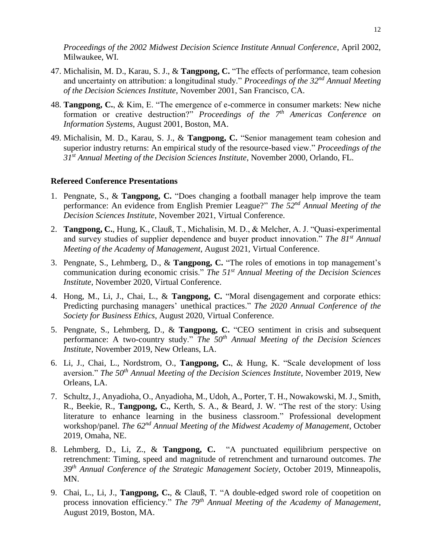*Proceedings of the 2002 Midwest Decision Science Institute Annual Conference*, April 2002, Milwaukee, WI.

- 47. Michalisin, M. D., Karau, S. J., & **Tangpong, C.** "The effects of performance, team cohesion and uncertainty on attribution: a longitudinal study." *Proceedings of the 32nd Annual Meeting of the Decision Sciences Institute*, November 2001, San Francisco, CA.
- 48. **Tangpong, C.**, & Kim, E. "The emergence of e-commerce in consumer markets: New niche formation or creative destruction?" *Proceedings of the 7th Americas Conference on Information Systems*, August 2001, Boston, MA.
- 49. Michalisin, M. D., Karau, S. J., & **Tangpong, C.** "Senior management team cohesion and superior industry returns: An empirical study of the resource-based view." *Proceedings of the 31st Annual Meeting of the Decision Sciences Institute*, November 2000, Orlando, FL.

#### **Refereed Conference Presentations**

- 1. Pengnate, S., & **Tangpong, C.** "Does changing a football manager help improve the team performance: An evidence from English Premier League?" *The 52nd Annual Meeting of the Decision Sciences Institute*, November 2021, Virtual Conference.
- 2. **Tangpong, C.**, Hung, K., Clauß, T., Michalisin, M. D., & Melcher, A. J. "Quasi-experimental and survey studies of supplier dependence and buyer product innovation." *The 81st Annual Meeting of the Academy of Management*, August 2021, Virtual Conference.
- 3. Pengnate, S., Lehmberg, D., & **Tangpong, C.** "The roles of emotions in top management's communication during economic crisis." *The 51st Annual Meeting of the Decision Sciences Institute*, November 2020, Virtual Conference.
- 4. Hong, M., Li, J., Chai, L., & **Tangpong, C.** "Moral disengagement and corporate ethics: Predicting purchasing managers' unethical practices." *The 2020 Annual Conference of the Society for Business Ethics*, August 2020, Virtual Conference.
- 5. Pengnate, S., Lehmberg, D., & **Tangpong, C.** "CEO sentiment in crisis and subsequent performance: A two-country study." *The 50th Annual Meeting of the Decision Sciences Institute*, November 2019, New Orleans, LA.
- 6. Li, J., Chai, L., Nordstrom, O., **Tangpong, C.**, & Hung, K. "Scale development of loss aversion." *The 50th Annual Meeting of the Decision Sciences Institute*, November 2019, New Orleans, LA.
- 7. Schultz, J., Anyadioha, O., Anyadioha, M., Udoh, A., Porter, T. H., Nowakowski, M. J., Smith, R., Beekie, R., **Tangpong, C.**, Kerth, S. A., & Beard, J. W. "The rest of the story: Using literature to enhance learning in the business classroom." Professional development workshop/panel. *The 62nd Annual Meeting of the Midwest Academy of Management*, October 2019, Omaha, NE.
- 8. Lehmberg, D., Li, Z., & **Tangpong, C.** "A punctuated equilibrium perspective on retrenchment: Timing, speed and magnitude of retrenchment and turnaround outcomes. *The 39th Annual Conference of the Strategic Management Society*, October 2019, Minneapolis, MN.
- 9. Chai, L., Li, J., **Tangpong, C.**, & Clauß, T. "A double-edged sword role of coopetition on process innovation efficiency." *The 79<sup>th</sup> Annual Meeting of the Academy of Management*, August 2019, Boston, MA.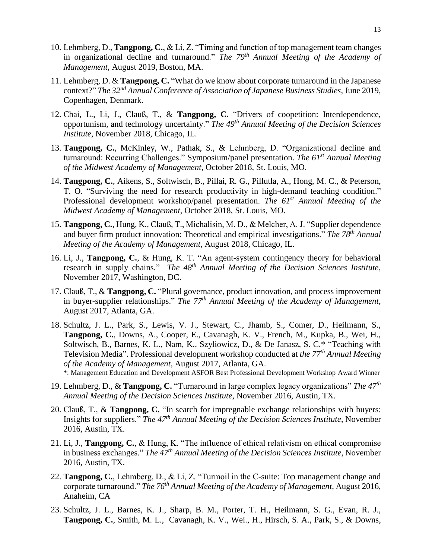- 10. Lehmberg, D., **Tangpong, C.**, & Li, Z. "Timing and function of top management team changes in organizational decline and turnaround." *The 79<sup>th</sup> Annual Meeting of the Academy of Management*, August 2019, Boston, MA.
- 11. Lehmberg, D. & **Tangpong, C.** "What do we know about corporate turnaround in the Japanese context?" *The 32nd Annual Conference of Association of Japanese Business Studies*, June 2019, Copenhagen, Denmark.
- 12. Chai, L., Li, J., Clauß, T., & **Tangpong, C.** "Drivers of coopetition: Interdependence, opportunism, and technology uncertainty." *The 49th Annual Meeting of the Decision Sciences Institute*, November 2018, Chicago, IL.
- 13. **Tangpong, C.**, McKinley, W., Pathak, S., & Lehmberg, D. "Organizational decline and turnaround: Recurring Challenges." Symposium/panel presentation. *The 61st Annual Meeting of the Midwest Academy of Management*, October 2018, St. Louis, MO.
- 14. **Tangpong, C.**, Aikens, S., Soltwisch, B., Pillai, R. G., Pillutla, A., Hong, M. C., & Peterson, T. O. "Surviving the need for research productivity in high-demand teaching condition." Professional development workshop/panel presentation. *The 61st Annual Meeting of the Midwest Academy of Management*, October 2018, St. Louis, MO.
- 15. **Tangpong, C.**, Hung, K., Clauß, T., Michalisin, M. D., & Melcher, A. J. "Supplier dependence and buyer firm product innovation: Theoretical and empirical investigations." *The 78 th Annual Meeting of the Academy of Management*, August 2018, Chicago, IL.
- 16. Li, J., **Tangpong, C.**, & Hung, K. T. "An agent-system contingency theory for behavioral research in supply chains." *The 48th Annual Meeting of the Decision Sciences Institute*, November 2017, Washington, DC.
- 17. Clauß, T., & **Tangpong, C.** "Plural governance, product innovation, and process improvement in buyer-supplier relationships." *The 77 th Annual Meeting of the Academy of Management*, August 2017, Atlanta, GA.
- 18. Schultz, J. L., Park, S., Lewis, V. J., Stewart, C., Jhamb, S., Comer, D., Heilmann, S., **Tangpong, C.**, Downs, A., Cooper, E., Cavanagh, K. V., French, M., Kupka, B., Wei, H., Soltwisch, B., Barnes, K. L., Nam, K., Szyliowicz, D., & De Janasz, S. C.\* "Teaching with Television Media". Professional development workshop conducted at *the 77th Annual Meeting of the Academy of Management*, August 2017, Atlanta, GA. \*: Management Education and Development ASFOR Best Professional Development Workshop Award Winner
- 19. Lehmberg, D., & **Tangpong, C.** "Turnaround in large complex legacy organizations" *The 47th Annual Meeting of the Decision Sciences Institute*, November 2016, Austin, TX.
- 20. Clauß, T., & **Tangpong, C.** "In search for impregnable exchange relationships with buyers: Insights for suppliers." *The 47th Annual Meeting of the Decision Sciences Institute*, November 2016, Austin, TX.
- 21. Li, J., **Tangpong, C.**, & Hung, K. "The influence of ethical relativism on ethical compromise in business exchanges." *The 47th Annual Meeting of the Decision Sciences Institute*, November 2016, Austin, TX.
- 22. **Tangpong, C.**, Lehmberg, D., & Li, Z. "Turmoil in the C-suite: Top management change and corporate turnaround." *The 76th Annual Meeting of the Academy of Management*, August 2016, Anaheim, CA
- 23. Schultz, J. L., Barnes, K. J., Sharp, B. M., Porter, T. H., Heilmann, S. G., Evan, R. J., **Tangpong, C.**, Smith, M. L., Cavanagh, K. V., Wei., H., Hirsch, S. A., Park, S., & Downs,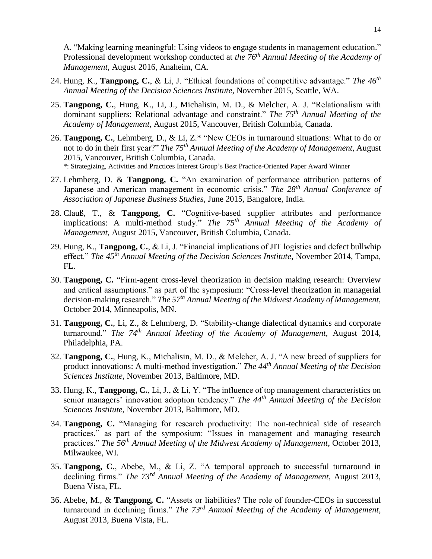A. "Making learning meaningful: Using videos to engage students in management education." Professional development workshop conducted at *the 76th Annual Meeting of the Academy of Management*, August 2016, Anaheim, CA.

- 24. Hung, K., **Tangpong, C.**, & Li, J. "Ethical foundations of competitive advantage." *The 46th Annual Meeting of the Decision Sciences Institute*, November 2015, Seattle, WA.
- 25. **Tangpong, C.**, Hung, K., Li, J., Michalisin, M. D., & Melcher, A. J. "Relationalism with dominant suppliers: Relational advantage and constraint." *The 75th Annual Meeting of the Academy of Management*, August 2015, Vancouver, British Columbia, Canada.
- 26. **Tangpong, C.**, Lehmberg, D., & Li, Z.\* "New CEOs in turnaround situations: What to do or not to do in their first year?" *The 75th Annual Meeting of the Academy of Management*, August 2015, Vancouver, British Columbia, Canada. \*: Strategizing, Activities and Practices Interest Group's Best Practice-Oriented Paper Award Winner
- 27. Lehmberg, D. & **Tangpong, C.** "An examination of performance attribution patterns of Japanese and American management in economic crisis." The 28<sup>th</sup> Annual Conference of *Association of Japanese Business Studies*, June 2015, Bangalore, India.
- 28. Clauß, T., & **Tangpong, C.** "Cognitive-based supplier attributes and performance implications: A multi-method study." *The 75th Annual Meeting of the Academy of Management*, August 2015, Vancouver, British Columbia, Canada.
- 29. Hung, K., **Tangpong, C.**, & Li, J. "Financial implications of JIT logistics and defect bullwhip effect." *The 45th Annual Meeting of the Decision Sciences Institute*, November 2014, Tampa, FL.
- 30. **Tangpong, C.** "Firm-agent cross-level theorization in decision making research: Overview and critical assumptions." as part of the symposium: "Cross-level theorization in managerial decision-making research." *The 57th Annual Meeting of the Midwest Academy of Management*, October 2014, Minneapolis, MN.
- 31. **Tangpong, C.**, Li, Z., & Lehmberg, D. "Stability-change dialectical dynamics and corporate turnaround." *The 74th Annual Meeting of the Academy of Management*, August 2014, Philadelphia, PA.
- 32. **Tangpong, C.**, Hung, K., Michalisin, M. D., & Melcher, A. J. "A new breed of suppliers for product innovations: A multi-method investigation." *The 44th Annual Meeting of the Decision Sciences Institute*, November 2013, Baltimore, MD.
- 33. Hung, K., **Tangpong, C.**, Li, J., & Li, Y. "The influence of top management characteristics on senior managers' innovation adoption tendency." *The 44th Annual Meeting of the Decision Sciences Institute*, November 2013, Baltimore, MD.
- 34. **Tangpong, C.** "Managing for research productivity: The non-technical side of research practices." as part of the symposium: "Issues in management and managing research practices." *The 56th Annual Meeting of the Midwest Academy of Management*, October 2013, Milwaukee, WI.
- 35. **Tangpong, C.**, Abebe, M., & Li, Z. "A temporal approach to successful turnaround in declining firms." *The 73rd Annual Meeting of the Academy of Management*, August 2013, Buena Vista, FL.
- 36. Abebe, M., & **Tangpong, C.** "Assets or liabilities? The role of founder-CEOs in successful turnaround in declining firms." *The 73rd Annual Meeting of the Academy of Management*, August 2013, Buena Vista, FL.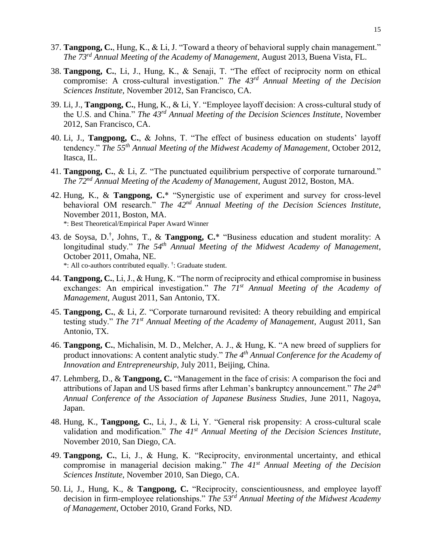- 37. **Tangpong, C.**, Hung, K., & Li, J. "Toward a theory of behavioral supply chain management." *The 73rd Annual Meeting of the Academy of Management*, August 2013, Buena Vista, FL.
- 38. **Tangpong, C.**, Li, J., Hung, K., & Senaji, T. "The effect of reciprocity norm on ethical compromise: A cross-cultural investigation." *The 43rd Annual Meeting of the Decision Sciences Institute*, November 2012, San Francisco, CA.
- 39. Li, J., **Tangpong, C.**, Hung, K., & Li, Y. "Employee layoff decision: A cross-cultural study of the U.S. and China." *The 43rd Annual Meeting of the Decision Sciences Institute*, November 2012, San Francisco, CA.
- 40. Li, J., **Tangpong, C.**, & Johns, T. "The effect of business education on students' layoff tendency." *The 55th Annual Meeting of the Midwest Academy of Management*, October 2012, Itasca, IL.
- 41. **Tangpong, C.**, & Li, Z. "The punctuated equilibrium perspective of corporate turnaround." *The 72nd Annual Meeting of the Academy of Management*, August 2012, Boston, MA.
- 42. Hung, K., & **Tangpong, C.**\* "Synergistic use of experiment and survey for cross-level behavioral OM research." *The 42nd Annual Meeting of the Decision Sciences Institute*, November 2011, Boston, MA. \*: Best Theoretical/Empirical Paper Award Winner
- 43. de Soysa, D.† , Johns, T., & **Tangpong, C.**\* "Business education and student morality: A longitudinal study." *The 54th Annual Meeting of the Midwest Academy of Management*, October 2011, Omaha, NE. \*: All co-authors contributed equally. † : Graduate student.
- 44. **Tangpong, C.**, Li, J., & Hung, K. "The norm of reciprocity and ethical compromise in business exchanges: An empirical investigation." *The 71st Annual Meeting of the Academy of Management*, August 2011, San Antonio, TX.
- 45. **Tangpong, C.**, & Li, Z. "Corporate turnaround revisited: A theory rebuilding and empirical testing study." *The 71st Annual Meeting of the Academy of Management*, August 2011, San Antonio, TX.
- 46. **Tangpong, C.**, Michalisin, M. D., Melcher, A. J., & Hung, K. "A new breed of suppliers for product innovations: A content analytic study." *The 4th Annual Conference for the Academy of Innovation and Entrepreneurship*, July 2011, Beijing, China.
- 47. Lehmberg, D., & **Tangpong, C.** "Management in the face of crisis: A comparison the foci and attributions of Japan and US based firms after Lehman's bankruptcy announcement." *The 24th Annual Conference of the Association of Japanese Business Studies*, June 2011, Nagoya, Japan.
- 48. Hung, K., **Tangpong, C.**, Li, J., & Li, Y. "General risk propensity: A cross-cultural scale validation and modification." *The 41st Annual Meeting of the Decision Sciences Institute*, November 2010, San Diego, CA.
- 49. **Tangpong, C.**, Li, J., & Hung, K. "Reciprocity, environmental uncertainty, and ethical compromise in managerial decision making." *The 41st Annual Meeting of the Decision Sciences Institute*, November 2010, San Diego, CA.
- 50. Li, J., Hung, K., & **Tangpong, C.** "Reciprocity, conscientiousness, and employee layoff decision in firm-employee relationships." *The 53rd Annual Meeting of the Midwest Academy of Management*, October 2010, Grand Forks, ND.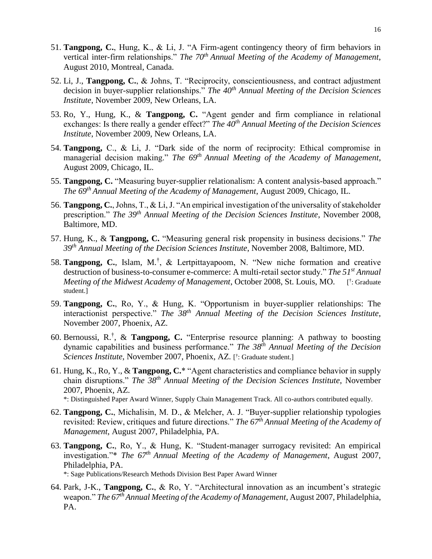- 51. **Tangpong, C.**, Hung, K., & Li, J. "A Firm-agent contingency theory of firm behaviors in vertical inter-firm relationships." *The 70<sup>th</sup> Annual Meeting of the Academy of Management*, August 2010, Montreal, Canada.
- 52. Li, J., **Tangpong, C.**, & Johns, T. "Reciprocity, conscientiousness, and contract adjustment decision in buyer-supplier relationships." *The 40th Annual Meeting of the Decision Sciences Institute*, November 2009, New Orleans, LA.
- 53. Ro, Y., Hung, K., & **Tangpong, C.** "Agent gender and firm compliance in relational exchanges: Is there really a gender effect?" *The 40th Annual Meeting of the Decision Sciences Institute*, November 2009, New Orleans, LA.
- 54. **Tangpong,** C., & Li, J. "Dark side of the norm of reciprocity: Ethical compromise in managerial decision making." *The 69th Annual Meeting of the Academy of Management*, August 2009, Chicago, IL.
- 55. **Tangpong, C.** "Measuring buyer-supplier relationalism: A content analysis-based approach." *The 69th Annual Meeting of the Academy of Management*, August 2009, Chicago, IL.
- 56. **Tangpong, C.**, Johns, T., & Li, J. "An empirical investigation of the universality of stakeholder prescription." *The 39th Annual Meeting of the Decision Sciences Institute*, November 2008, Baltimore, MD.
- 57. Hung, K., & **Tangpong, C.** "Measuring general risk propensity in business decisions." *The 39th Annual Meeting of the Decision Sciences Institute*, November 2008, Baltimore, MD.
- 58. **Tangpong, C.**, Islam, M.† , & Lertpittayapoom, N. "New niche formation and creative destruction of business-to-consumer e-commerce: A multi-retail sector study." *The 51st Annual Meeting of the Midwest Academy of Management*, October 2008, St. Louis, MO. † : Graduate student.]
- 59. **Tangpong, C.**, Ro, Y., & Hung, K. "Opportunism in buyer-supplier relationships: The interactionist perspective." *The 38th Annual Meeting of the Decision Sciences Institute*, November 2007, Phoenix, AZ.
- 60. Bernoussi, R.† , & **Tangpong, C.** "Enterprise resource planning: A pathway to boosting dynamic capabilities and business performance." *The 38th Annual Meeting of the Decision Sciences Institute*, November 2007, Phoenix, AZ. [ † : Graduate student.]
- 61. Hung, K., Ro, Y., & **Tangpong, C.**\* "Agent characteristics and compliance behavior in supply chain disruptions." *The 38th Annual Meeting of the Decision Sciences Institute*, November 2007, Phoenix, AZ. \*: Distinguished Paper Award Winner, Supply Chain Management Track. All co-authors contributed equally.
- 62. **Tangpong, C.**, Michalisin, M. D., & Melcher, A. J. "Buyer-supplier relationship typologies
- revisited: Review, critiques and future directions." *The 67th Annual Meeting of the Academy of Management*, August 2007, Philadelphia, PA.
- 63. **Tangpong, C.**, Ro, Y., & Hung, K. "Student-manager surrogacy revisited: An empirical investigation."\* *The 67th Annual Meeting of the Academy of Management*, August 2007, Philadelphia, PA. \*: Sage Publications/Research Methods Division Best Paper Award Winner
- 64. Park, J-K., **Tangpong, C.**, & Ro, Y. "Architectural innovation as an incumbent's strategic weapon." *The 67th Annual Meeting of the Academy of Management*, August 2007, Philadelphia, PA.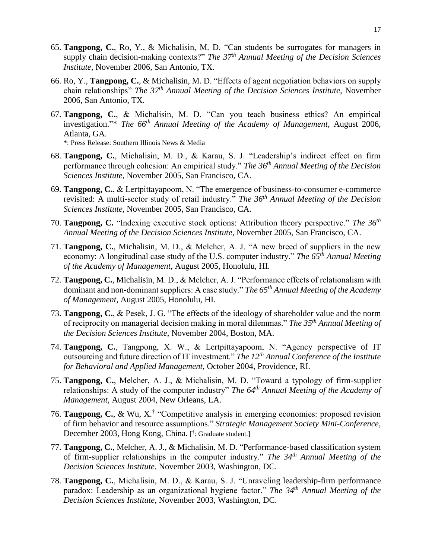- 65. **Tangpong, C.**, Ro, Y., & Michalisin, M. D. "Can students be surrogates for managers in supply chain decision-making contexts?" *The 37th Annual Meeting of the Decision Sciences Institute*, November 2006, San Antonio, TX.
- 66. Ro, Y., **Tangpong, C.**, & Michalisin, M. D. "Effects of agent negotiation behaviors on supply chain relationships" *The 37th Annual Meeting of the Decision Sciences Institute*, November 2006, San Antonio, TX.
- 67. **Tangpong, C.**, & Michalisin, M. D. "Can you teach business ethics? An empirical investigation."\* *The 66th Annual Meeting of the Academy of Management*, August 2006, Atlanta, GA.

\*: Press Release: Southern Illinois News & Media

- 68. **Tangpong, C.**, Michalisin, M. D., & Karau, S. J. "Leadership's indirect effect on firm performance through cohesion: An empirical study." *The 36th Annual Meeting of the Decision Sciences Institute*, November 2005, San Francisco, CA.
- 69. **Tangpong, C.**, & Lertpittayapoom, N. "The emergence of business-to-consumer e-commerce revisited: A multi-sector study of retail industry." *The 36th Annual Meeting of the Decision Sciences Institute*, November 2005, San Francisco, CA.
- 70. **Tangpong, C.** "Indexing executive stock options: Attribution theory perspective." *The 36th Annual Meeting of the Decision Sciences Institute*, November 2005, San Francisco, CA.
- 71. **Tangpong, C.**, Michalisin, M. D., & Melcher, A. J. "A new breed of suppliers in the new economy: A longitudinal case study of the U.S. computer industry." *The 65th Annual Meeting of the Academy of Management*, August 2005, Honolulu, HI.
- 72. **Tangpong, C.**, Michalisin, M. D., & Melcher, A. J. "Performance effects of relationalism with dominant and non-dominant suppliers: A case study." *The 65th Annual Meeting of the Academy of Management*, August 2005, Honolulu, HI.
- 73. **Tangpong, C.**, & Pesek, J. G. "The effects of the ideology of shareholder value and the norm of reciprocity on managerial decision making in moral dilemmas." *The 35th Annual Meeting of the Decision Sciences Institute*, November 2004, Boston, MA.
- 74. **Tangpong, C.**, Tangpong, X. W., & Lertpittayapoom, N. "Agency perspective of IT outsourcing and future direction of IT investment." *The 12th Annual Conference of the Institute for Behavioral and Applied Management*, October 2004, Providence, RI.
- 75. **Tangpong, C.**, Melcher, A. J., & Michalisin, M. D. "Toward a typology of firm-supplier relationships: A study of the computer industry" *The 64th Annual Meeting of the Academy of Management*, August 2004, New Orleans, LA.
- 76. **Tangpong, C.**, & Wu, X.† "Competitive analysis in emerging economies: proposed revision of firm behavior and resource assumptions." *Strategic Management Society Mini-Conference*, December 2003, Hong Kong, China. [ † : Graduate student.]
- 77. **Tangpong, C.**, Melcher, A. J., & Michalisin, M. D. "Performance-based classification system of firm-supplier relationships in the computer industry." *The 34th Annual Meeting of the Decision Sciences Institute*, November 2003, Washington, DC.
- 78. **Tangpong, C.**, Michalisin, M. D., & Karau, S. J. "Unraveling leadership-firm performance paradox: Leadership as an organizational hygiene factor." *The 34th Annual Meeting of the Decision Sciences Institute*, November 2003, Washington, DC.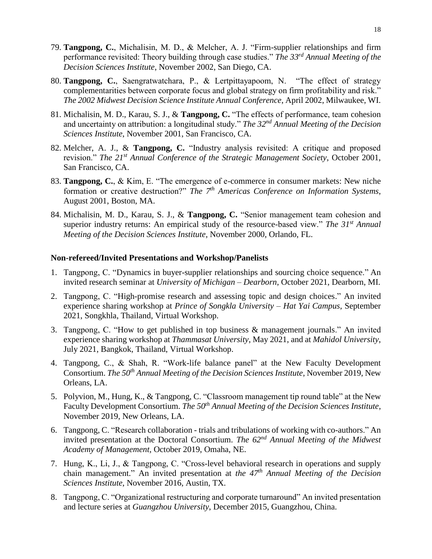- 79. **Tangpong, C.**, Michalisin, M. D., & Melcher, A. J. "Firm-supplier relationships and firm performance revisited: Theory building through case studies." *The 33rd Annual Meeting of the Decision Sciences Institute*, November 2002, San Diego, CA.
- 80. **Tangpong, C.**, Saengratwatchara, P., & Lertpittayapoom, N. "The effect of strategy complementarities between corporate focus and global strategy on firm profitability and risk." *The 2002 Midwest Decision Science Institute Annual Conference*, April 2002, Milwaukee, WI.
- 81. Michalisin, M. D., Karau, S. J., & **Tangpong, C.** "The effects of performance, team cohesion and uncertainty on attribution: a longitudinal study." *The 32nd Annual Meeting of the Decision Sciences Institute*, November 2001, San Francisco, CA.
- 82. Melcher, A. J., & **Tangpong, C.** "Industry analysis revisited: A critique and proposed revision." *The 21st Annual Conference of the Strategic Management Society*, October 2001, San Francisco, CA.
- 83. **Tangpong, C.**, & Kim, E. "The emergence of e-commerce in consumer markets: New niche formation or creative destruction?" *The 7th Americas Conference on Information Systems*, August 2001, Boston, MA.
- 84. Michalisin, M. D., Karau, S. J., & **Tangpong, C.** "Senior management team cohesion and superior industry returns: An empirical study of the resource-based view." *The 31st Annual Meeting of the Decision Sciences Institute*, November 2000, Orlando, FL.

## **Non-refereed/Invited Presentations and Workshop/Panelists**

- 1. Tangpong, C. "Dynamics in buyer-supplier relationships and sourcing choice sequence." An invited research seminar at *University of Michigan – Dearborn*, October 2021, Dearborn, MI.
- 2. Tangpong, C. "High-promise research and assessing topic and design choices." An invited experience sharing workshop at *Prince of Songkla University – Hat Yai Campus*, September 2021, Songkhla, Thailand, Virtual Workshop.
- 3. Tangpong, C. "How to get published in top business & management journals." An invited experience sharing workshop at *Thammasat University*, May 2021, and at *Mahidol University*, July 2021, Bangkok, Thailand, Virtual Workshop.
- 4. Tangpong, C., & Shah, R. "Work-life balance panel" at the New Faculty Development Consortium. *The 50th Annual Meeting of the Decision Sciences Institute*, November 2019, New Orleans, LA.
- 5. Polyvion, M., Hung, K., & Tangpong, C. "Classroom management tip round table" at the New Faculty Development Consortium. *The 50th Annual Meeting of the Decision Sciences Institute*, November 2019, New Orleans, LA.
- 6. Tangpong, C. "Research collaboration trials and tribulations of working with co-authors." An invited presentation at the Doctoral Consortium. *The 62nd Annual Meeting of the Midwest Academy of Management*, October 2019, Omaha, NE.
- 7. Hung, K., Li, J., & Tangpong, C. "Cross-level behavioral research in operations and supply chain management." An invited presentation at *the 47th Annual Meeting of the Decision Sciences Institute*, November 2016, Austin, TX.
- 8. Tangpong, C. "Organizational restructuring and corporate turnaround" An invited presentation and lecture series at *Guangzhou University*, December 2015, Guangzhou, China.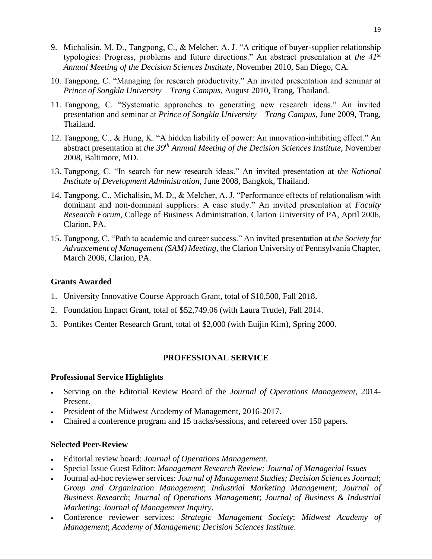- 9. Michalisin, M. D., Tangpong, C., & Melcher, A. J. "A critique of buyer-supplier relationship typologies: Progress, problems and future directions." An abstract presentation at *the 41st Annual Meeting of the Decision Sciences Institute*, November 2010, San Diego, CA.
- 10. Tangpong, C. "Managing for research productivity." An invited presentation and seminar at *Prince of Songkla University – Trang Campus*, August 2010, Trang, Thailand.
- 11. Tangpong, C. "Systematic approaches to generating new research ideas." An invited presentation and seminar at *Prince of Songkla University – Trang Campus*, June 2009, Trang, Thailand.
- 12. Tangpong, C., & Hung, K. "A hidden liability of power: An innovation-inhibiting effect." An abstract presentation at *the 39th Annual Meeting of the Decision Sciences Institute*, November 2008, Baltimore, MD.
- 13. Tangpong, C. "In search for new research ideas." An invited presentation at *the National Institute of Development Administration*, June 2008, Bangkok, Thailand.
- 14. Tangpong, C., Michalisin, M. D., & Melcher, A. J. "Performance effects of relationalism with dominant and non-dominant suppliers: A case study." An invited presentation at *Faculty Research Forum*, College of Business Administration, Clarion University of PA, April 2006, Clarion, PA.
- 15. Tangpong, C. "Path to academic and career success." An invited presentation at *the Society for Advancement of Management (SAM) Meeting*, the Clarion University of Pennsylvania Chapter, March 2006, Clarion, PA.

## **Grants Awarded**

- 1. University Innovative Course Approach Grant, total of \$10,500, Fall 2018.
- 2. Foundation Impact Grant, total of \$52,749.06 (with Laura Trude), Fall 2014.
- 3. Pontikes Center Research Grant, total of \$2,000 (with Euijin Kim), Spring 2000.

#### **PROFESSIONAL SERVICE**

## **Professional Service Highlights**

- Serving on the Editorial Review Board of the *Journal of Operations Management*, 2014- Present.
- President of the Midwest Academy of Management, 2016-2017.
- Chaired a conference program and 15 tracks/sessions, and refereed over 150 papers.

# **Selected Peer-Review**

- Editorial review board: *Journal of Operations Management.*
- Special Issue Guest Editor: *Management Research Review; Journal of Managerial Issues*
- Journal ad-hoc reviewer services: *Journal of Management Studies; Decision Sciences Journal*; *Group and Organization Management*; *Industrial Marketing Management*; *Journal of Business Research*; *Journal of Operations Management*; *Journal of Business & Industrial Marketing*; *Journal of Management Inquiry.*
- Conference reviewer services: *Strategic Management Society*; *Midwest Academy of Management*; *Academy of Management*; *Decision Sciences Institute*.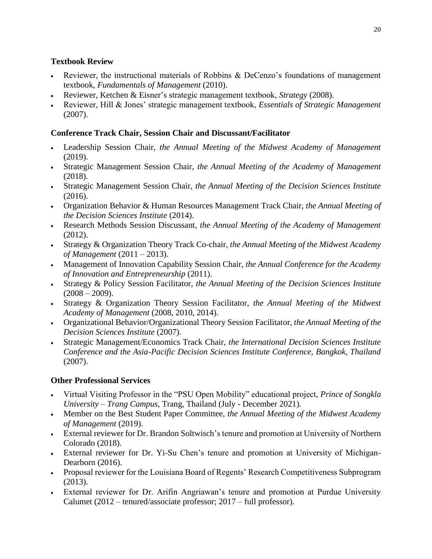# **Textbook Review**

- Reviewer, the instructional materials of Robbins & DeCenzo's foundations of management textbook, *Fundamentals of Management* (2010).
- Reviewer, Ketchen & Eisner's strategic management textbook, *Strategy* (2008).
- Reviewer, Hill & Jones' strategic management textbook, *Essentials of Strategic Management* (2007).

# **Conference Track Chair, Session Chair and Discussant/Facilitator**

- Leadership Session Chair, *the Annual Meeting of the Midwest Academy of Management* (2019).
- Strategic Management Session Chair, *the Annual Meeting of the Academy of Management* (2018).
- Strategic Management Session Chair, *the Annual Meeting of the Decision Sciences Institute* (2016).
- Organization Behavior & Human Resources Management Track Chair, *the Annual Meeting of the Decision Sciences Institute* (2014).
- Research Methods Session Discussant, *the Annual Meeting of the Academy of Management* (2012).
- Strategy & Organization Theory Track Co-chair, *the Annual Meeting of the Midwest Academy of Management* (2011 – 2013).
- Management of Innovation Capability Session Chair, *the Annual Conference for the Academy of Innovation and Entrepreneurship* (2011).
- Strategy & Policy Session Facilitator, *the Annual Meeting of the Decision Sciences Institute*  $(2008 - 2009)$ .
- Strategy & Organization Theory Session Facilitator, *the Annual Meeting of the Midwest Academy of Management* (2008, 2010, 2014).
- Organizational Behavior/Organizational Theory Session Facilitator, *the Annual Meeting of the Decision Sciences Institute* (2007).
- Strategic Management/Economics Track Chair, *the International Decision Sciences Institute Conference and the Asia-Pacific Decision Sciences Institute Conference, Bangkok, Thailand* (2007).

# **Other Professional Services**

- Virtual Visiting Professor in the "PSU Open Mobility" educational project, *Prince of Songkla University – Trang Campus*, Trang, Thailand (July - December 2021).
- Member on the Best Student Paper Committee, *the Annual Meeting of the Midwest Academy of Management* (2019).
- External reviewer for Dr. Brandon Soltwisch's tenure and promotion at University of Northern Colorado (2018).
- External reviewer for Dr. Yi-Su Chen's tenure and promotion at University of Michigan-Dearborn (2016).
- Proposal reviewer for the Louisiana Board of Regents' Research Competitiveness Subprogram (2013).
- External reviewer for Dr. Arifin Angriawan's tenure and promotion at Purdue University Calumet (2012 – tenured/associate professor; 2017 – full professor).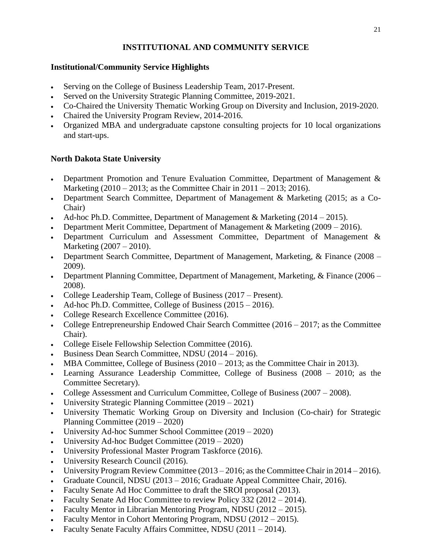# **INSTITUTIONAL AND COMMUNITY SERVICE**

# **Institutional/Community Service Highlights**

- Serving on the College of Business Leadership Team, 2017-Present.
- Served on the University Strategic Planning Committee, 2019-2021.
- Co-Chaired the University Thematic Working Group on Diversity and Inclusion, 2019-2020.
- Chaired the University Program Review, 2014-2016.
- Organized MBA and undergraduate capstone consulting projects for 10 local organizations and start-ups.

# **North Dakota State University**

- Department Promotion and Tenure Evaluation Committee, Department of Management & Marketing (2010 – 2013; as the Committee Chair in 2011 – 2013; 2016).
- Department Search Committee, Department of Management & Marketing (2015; as a Co-Chair)
- Ad-hoc Ph.D. Committee, Department of Management & Marketing (2014 2015).
- Department Merit Committee, Department of Management & Marketing (2009 2016).
- Department Curriculum and Assessment Committee, Department of Management & Marketing (2007 – 2010).
- Department Search Committee, Department of Management, Marketing, & Finance (2008 2009).
- Department Planning Committee, Department of Management, Marketing, & Finance (2006 2008).
- College Leadership Team, College of Business (2017 Present).
- Ad-hoc Ph.D. Committee, College of Business (2015 2016).
- College Research Excellence Committee (2016).
- College Entrepreneurship Endowed Chair Search Committee (2016 2017; as the Committee Chair).
- College Eisele Fellowship Selection Committee (2016).
- Business Dean Search Committee, NDSU (2014 2016).
- MBA Committee, College of Business (2010 2013; as the Committee Chair in 2013).
- Learning Assurance Leadership Committee, College of Business (2008 2010; as the Committee Secretary).
- College Assessment and Curriculum Committee, College of Business (2007 2008).
- University Strategic Planning Committee (2019 2021)
- University Thematic Working Group on Diversity and Inclusion (Co-chair) for Strategic Planning Committee (2019 – 2020)
- University Ad-hoc Summer School Committee (2019 2020)
- University Ad-hoc Budget Committee (2019 2020)
- University Professional Master Program Taskforce (2016).
- University Research Council (2016).
- University Program Review Committee  $(2013 2016)$ ; as the Committee Chair in 2014 2016).
- Graduate Council, NDSU (2013 2016; Graduate Appeal Committee Chair, 2016).
- Faculty Senate Ad Hoc Committee to draft the SROI proposal (2013).
- Faculty Senate Ad Hoc Committee to review Policy 332 (2012 2014).
- Faculty Mentor in Librarian Mentoring Program, NDSU (2012 2015).
- Faculty Mentor in Cohort Mentoring Program, NDSU (2012 2015).
- Faculty Senate Faculty Affairs Committee, NDSU (2011 2014).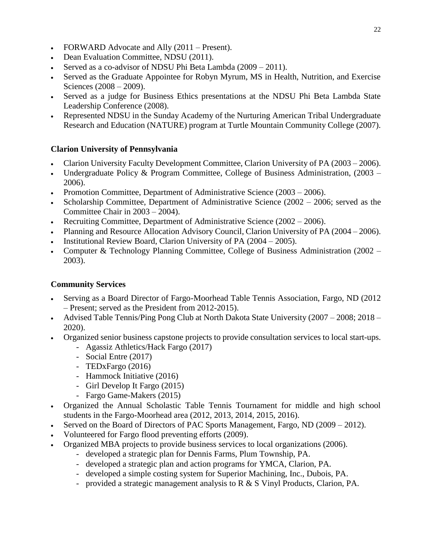- FORWARD Advocate and Ally (2011 Present).
- Dean Evaluation Committee, NDSU (2011).
- Served as a co-advisor of NDSU Phi Beta Lambda (2009 2011).
- Served as the Graduate Appointee for Robyn Myrum, MS in Health, Nutrition, and Exercise Sciences (2008 – 2009).
- Served as a judge for Business Ethics presentations at the NDSU Phi Beta Lambda State Leadership Conference (2008).
- Represented NDSU in the Sunday Academy of the Nurturing American Tribal Undergraduate Research and Education (NATURE) program at Turtle Mountain Community College (2007).

# **Clarion University of Pennsylvania**

- Clarion University Faculty Development Committee, Clarion University of PA (2003 2006).
- Undergraduate Policy & Program Committee, College of Business Administration, (2003 2006).
- Promotion Committee, Department of Administrative Science (2003 2006).
- Scholarship Committee, Department of Administrative Science (2002 2006; served as the Committee Chair in 2003 – 2004).
- Recruiting Committee, Department of Administrative Science (2002 2006).
- Planning and Resource Allocation Advisory Council, Clarion University of PA (2004 2006).
- Institutional Review Board, Clarion University of PA (2004 2005).
- Computer & Technology Planning Committee, College of Business Administration (2002 2003).

# **Community Services**

- Serving as a Board Director of Fargo-Moorhead Table Tennis Association, Fargo, ND (2012 – Present; served as the President from 2012-2015).
- Advised Table Tennis/Ping Pong Club at North Dakota State University (2007 2008; 2018 2020).
- Organized senior business capstone projects to provide consultation services to local start-ups.
	- Agassiz Athletics/Hack Fargo (2017)
	- Social Entre (2017)
	- TEDxFargo (2016)
	- Hammock Initiative (2016)
	- Girl Develop It Fargo (2015)
	- Fargo Game-Makers (2015)
- Organized the Annual Scholastic Table Tennis Tournament for middle and high school students in the Fargo-Moorhead area (2012, 2013, 2014, 2015, 2016).
- Served on the Board of Directors of PAC Sports Management, Fargo, ND (2009 2012).
- Volunteered for Fargo flood preventing efforts (2009).
- Organized MBA projects to provide business services to local organizations (2006).
	- developed a strategic plan for Dennis Farms, Plum Township, PA.
	- developed a strategic plan and action programs for YMCA, Clarion, PA.
	- developed a simple costing system for Superior Machining, Inc., Dubois, PA.
	- provided a strategic management analysis to R & S Vinyl Products, Clarion, PA.